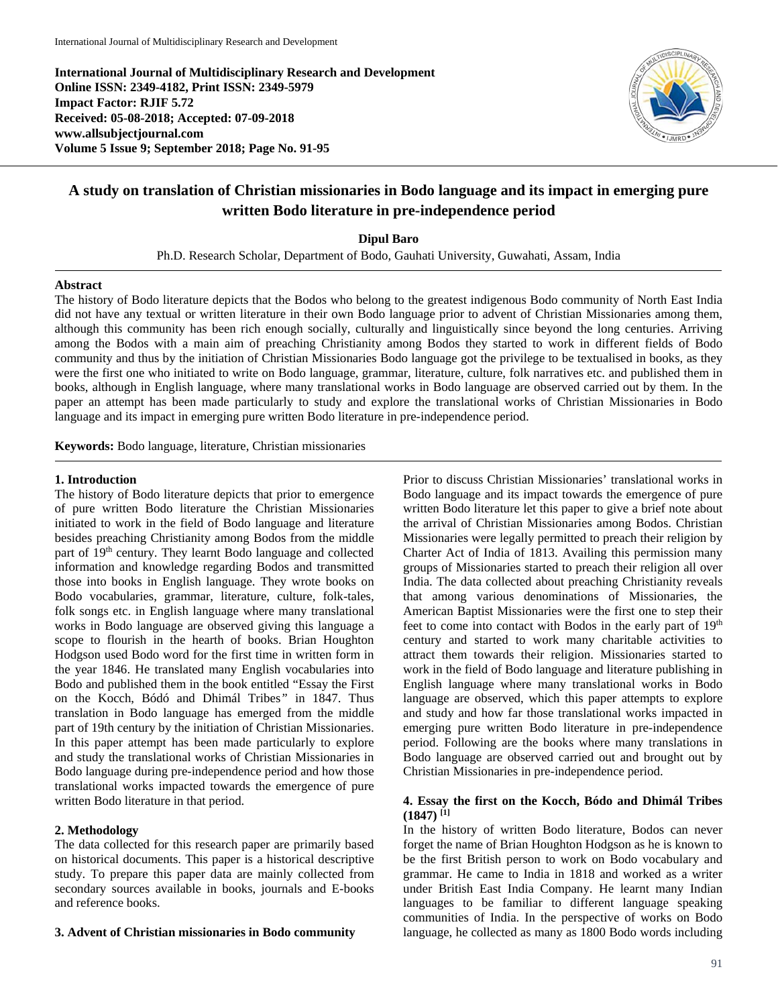**International Journal of Multidisciplinary Research and Development Online ISSN: 2349-4182, Print ISSN: 2349-5979 Impact Factor: RJIF 5.72 Received: 05-08-2018; Accepted: 07-09-2018 www.allsubjectjournal.com Volume 5 Issue 9; September 2018; Page No. 91-95**



# **A study on translation of Christian missionaries in Bodo language and its impact in emerging pure written Bodo literature in pre-independence period**

**Dipul Baro**

Ph.D. Research Scholar, Department of Bodo, Gauhati University, Guwahati, Assam, India

#### **Abstract**

The history of Bodo literature depicts that the Bodos who belong to the greatest indigenous Bodo community of North East India did not have any textual or written literature in their own Bodo language prior to advent of Christian Missionaries among them, although this community has been rich enough socially, culturally and linguistically since beyond the long centuries. Arriving among the Bodos with a main aim of preaching Christianity among Bodos they started to work in different fields of Bodo community and thus by the initiation of Christian Missionaries Bodo language got the privilege to be textualised in books, as they were the first one who initiated to write on Bodo language, grammar, literature, culture, folk narratives etc. and published them in books, although in English language, where many translational works in Bodo language are observed carried out by them. In the paper an attempt has been made particularly to study and explore the translational works of Christian Missionaries in Bodo language and its impact in emerging pure written Bodo literature in pre-independence period.

**Keywords:** Bodo language, literature, Christian missionaries

#### **1. Introduction**

The history of Bodo literature depicts that prior to emergence of pure written Bodo literature the Christian Missionaries initiated to work in the field of Bodo language and literature besides preaching Christianity among Bodos from the middle part of 19<sup>th</sup> century. They learnt Bodo language and collected information and knowledge regarding Bodos and transmitted those into books in English language. They wrote books on Bodo vocabularies, grammar, literature, culture, folk-tales, folk songs etc. in English language where many translational works in Bodo language are observed giving this language a scope to flourish in the hearth of books. Brian Houghton Hodgson used Bodo word for the first time in written form in the year 1846. He translated many English vocabularies into Bodo and published them in the book entitled "Essay the First on the Kocch, Bódó and Dhimál Tribes*"* in 1847. Thus translation in Bodo language has emerged from the middle part of 19th century by the initiation of Christian Missionaries. In this paper attempt has been made particularly to explore and study the translational works of Christian Missionaries in Bodo language during pre-independence period and how those translational works impacted towards the emergence of pure written Bodo literature in that period.

### **2. Methodology**

The data collected for this research paper are primarily based on historical documents. This paper is a historical descriptive study. To prepare this paper data are mainly collected from secondary sources available in books, journals and E-books and reference books.

#### **3. Advent of Christian missionaries in Bodo community**

Prior to discuss Christian Missionaries' translational works in Bodo language and its impact towards the emergence of pure written Bodo literature let this paper to give a brief note about the arrival of Christian Missionaries among Bodos. Christian Missionaries were legally permitted to preach their religion by Charter Act of India of 1813. Availing this permission many groups of Missionaries started to preach their religion all over India. The data collected about preaching Christianity reveals that among various denominations of Missionaries, the American Baptist Missionaries were the first one to step their feet to come into contact with Bodos in the early part of 19<sup>th</sup> century and started to work many charitable activities to attract them towards their religion. Missionaries started to work in the field of Bodo language and literature publishing in English language where many translational works in Bodo language are observed, which this paper attempts to explore and study and how far those translational works impacted in emerging pure written Bodo literature in pre-independence period. Following are the books where many translations in Bodo language are observed carried out and brought out by Christian Missionaries in pre-independence period.

### **4. Essay the first on the Kocch, Bódo and Dhimál Tribes (1847) [1]**

In the history of written Bodo literature, Bodos can never forget the name of Brian Houghton Hodgson as he is known to be the first British person to work on Bodo vocabulary and grammar. He came to India in 1818 and worked as a writer under British East India Company. He learnt many Indian languages to be familiar to different language speaking communities of India. In the perspective of works on Bodo language, he collected as many as 1800 Bodo words including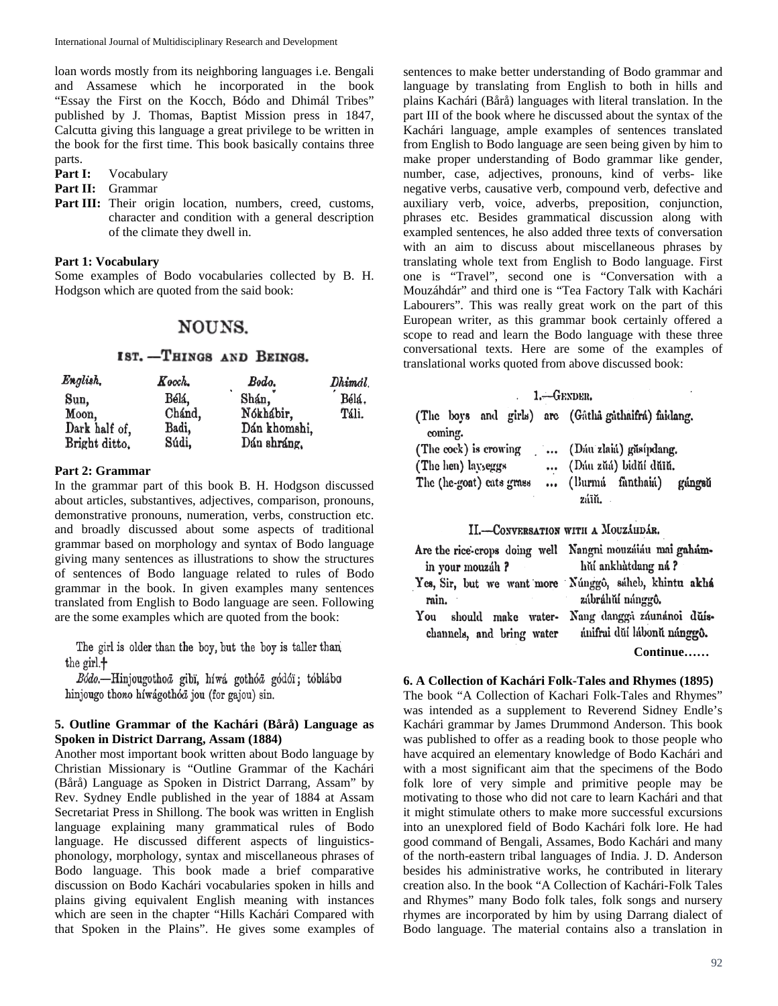loan words mostly from its neighboring languages i.e. Bengali and Assamese which he incorporated in the book "Essay the First on the Kocch, Bódo and Dhimál Tribes" published by J. Thomas, Baptist Mission press in 1847, Calcutta giving this language a great privilege to be written in the book for the first time. This book basically contains three parts.

**Part I:** Vocabulary

- **Part II:** Grammar
- Part III: Their origin location, numbers, creed, customs, character and condition with a general description of the climate they dwell in.

### **Part 1: Vocabulary**

Some examples of Bodo vocabularies collected by B. H. Hodgson which are quoted from the said book:

# NOUNS.

# IST. -THINGS AND BEINGS.

| English.      | Kocch. | Bodo.        | Dhimál. |
|---------------|--------|--------------|---------|
| Sun,          | Bélá,  | Shán,        | Bélá.   |
| Moon,         | Chánd, | Nókhábir.    | Táli.   |
| Dark half of, | Badi,  | Dán khomshi. |         |
| Bright ditto, | Súdi,  | Dán shráng,  |         |

### **Part 2: Grammar**

In the grammar part of this book B. H. Hodgson discussed about articles, substantives, adjectives, comparison, pronouns, demonstrative pronouns, numeration, verbs, construction etc. and broadly discussed about some aspects of traditional grammar based on morphology and syntax of Bodo language giving many sentences as illustrations to show the structures of sentences of Bodo language related to rules of Bodo grammar in the book. In given examples many sentences translated from English to Bodo language are seen. Following are the some examples which are quoted from the book:

The girl is older than the boy, but the boy is taller than the girl.+

Bódo.-Hinjougothoä gibï, híwá gothóä gódóï; tóblába hinjougo thono híwágothóa jou (for gajou) sin.

### **5. Outline Grammar of the Kachári (Bårå) Language as Spoken in District Darrang, Assam (1884)**

Another most important book written about Bodo language by Christian Missionary is "Outline Grammar of the Kachári (Bårå) Language as Spoken in District Darrang, Assam" by Rev. Sydney Endle published in the year of 1884 at Assam Secretariat Press in Shillong. The book was written in English language explaining many grammatical rules of Bodo language. He discussed different aspects of linguisticsphonology, morphology, syntax and miscellaneous phrases of Bodo language. This book made a brief comparative discussion on Bodo Kachári vocabularies spoken in hills and plains giving equivalent English meaning with instances which are seen in the chapter "Hills Kachári Compared with that Spoken in the Plains". He gives some examples of

sentences to make better understanding of Bodo grammar and language by translating from English to both in hills and plains Kachári (Bårå) languages with literal translation. In the part III of the book where he discussed about the syntax of the Kachári language, ample examples of sentences translated from English to Bodo language are seen being given by him to make proper understanding of Bodo grammar like gender, number, case, adjectives, pronouns, kind of verbs- like negative verbs, causative verb, compound verb, defective and auxiliary verb, voice, adverbs, preposition, conjunction, phrases etc. Besides grammatical discussion along with exampled sentences, he also added three texts of conversation with an aim to discuss about miscellaneous phrases by translating whole text from English to Bodo language. First one is "Travel", second one is "Conversation with a Mouzáhdár" and third one is "Tea Factory Talk with Kachári Labourers". This was really great work on the part of this European writer, as this grammar book certainly offered a scope to read and learn the Bodo language with these three conversational texts. Here are some of the examples of translational works quoted from above discussed book:

### $1 - G$ EXDER.

|                          |                       |                            | (The boys and girls) are (Gâthâ gâthaifrá) faidang. |
|--------------------------|-----------------------|----------------------------|-----------------------------------------------------|
|                          | coming.               |                            |                                                     |
|                          | (The cock) is crowing |                            | (Dau zlaia) găsipdang.                              |
|                          | (The hen) layseggs    |                            | (Dáu zŭá) bidŭí dŭīŭ.                               |
| The (he-goat) cats grass |                       | (Burmá fànthaiá)<br>gángsŭ |                                                     |
|                          |                       |                            | záīŭ.                                               |

### II.-CONVERSATION WITH A MOUZÁHDÁR.

|                           | Are the rice-crops doing well Nangni mouzuiau mai gaham- |
|---------------------------|----------------------------------------------------------|
| in your mouzáh?           | hùi ankhàtdang ná?                                       |
|                           | Yes, Sir, but we want more Núnggô, sáheb, khintu akhá    |
| rain.                     | zábráhŭí nánggô.                                         |
| should make water-<br>You | Nang dangga záunánoi duís-                               |
| channels, and bring water | ánifrai dŭí lábonŭ nánggô.                               |
|                           | Continue                                                 |

# **6. A Collection of Kachári Folk-Tales and Rhymes (1895)**

The book "A Collection of Kachari Folk-Tales and Rhymes" was intended as a supplement to Reverend Sidney Endle's Kachári grammar by James Drummond Anderson. This book was published to offer as a reading book to those people who have acquired an elementary knowledge of Bodo Kachári and with a most significant aim that the specimens of the Bodo folk lore of very simple and primitive people may be motivating to those who did not care to learn Kachári and that it might stimulate others to make more successful excursions into an unexplored field of Bodo Kachári folk lore. He had good command of Bengali, Assames, Bodo Kachári and many of the north-eastern tribal languages of India. J. D. Anderson besides his administrative works, he contributed in literary creation also. In the book "A Collection of Kachári-Folk Tales and Rhymes" many Bodo folk tales, folk songs and nursery rhymes are incorporated by him by using Darrang dialect of Bodo language. The material contains also a translation in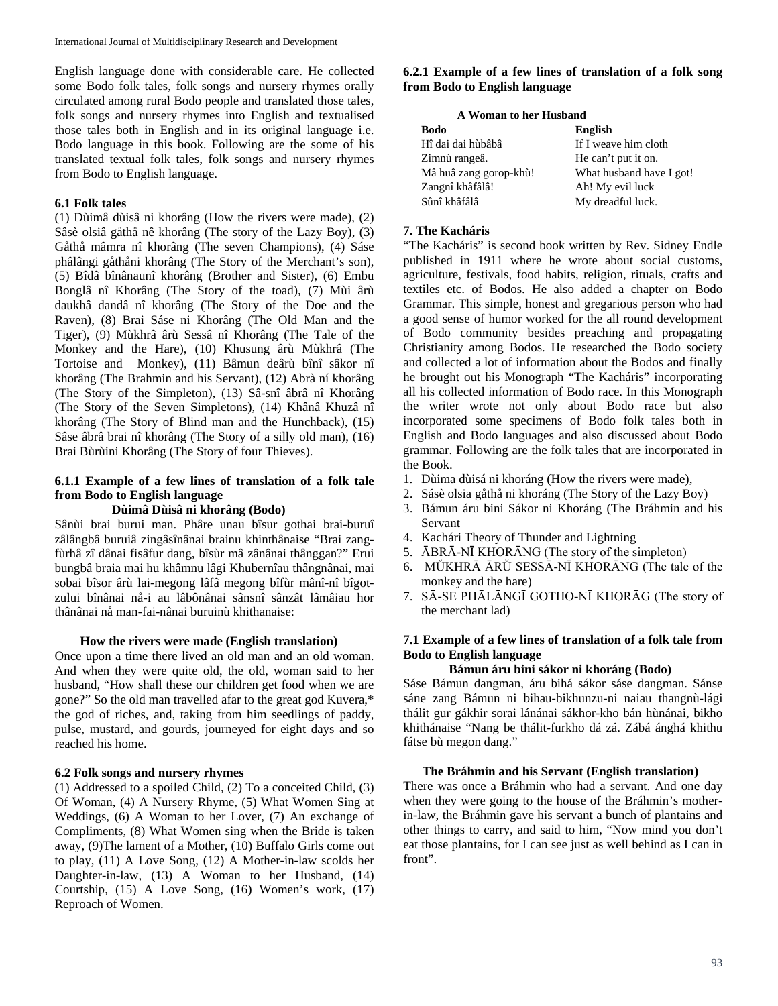English language done with considerable care. He collected some Bodo folk tales, folk songs and nursery rhymes orally circulated among rural Bodo people and translated those tales, folk songs and nursery rhymes into English and textualised those tales both in English and in its original language i.e. Bodo language in this book. Following are the some of his translated textual folk tales, folk songs and nursery rhymes from Bodo to English language.

### **6.1 Folk tales**

(1) Dùimâ dùisâ ni khorâng (How the rivers were made), (2) Sâsè olsiâ gåthå nê khorâng (The story of the Lazy Boy), (3) Gåthå mâmra nî khorâng (The seven Champions), (4) Sáse phâlângi gåthåni khorâng (The Story of the Merchant's son), (5) Bîdâ bînânaunî khorâng (Brother and Sister), (6) Embu Bonglâ nî Khorâng (The Story of the toad), (7) Mùi ârù daukhâ dandâ nî khorâng (The Story of the Doe and the Raven), (8) Brai Sáse ni Khorâng (The Old Man and the Tiger), (9) Mùkhrâ ârù Sessâ nî Khorâng (The Tale of the Monkey and the Hare), (10) Khusung ârù Mùkhrâ (The Tortoise and Monkey), (11) Bâmun deârù bînî sâkor nî khorâng (The Brahmin and his Servant), (12) Abrà ní khorâng (The Story of the Simpleton), (13) Sâ-snî âbrâ nî Khorâng (The Story of the Seven Simpletons), (14) Khânâ Khuzâ nî khorâng (The Story of Blind man and the Hunchback), (15) Sâse âbrâ brai nî khorâng (The Story of a silly old man), (16) Brai Bùrùini Khorâng (The Story of four Thieves).

## **6.1.1 Example of a few lines of translation of a folk tale from Bodo to English language**

### **Dùimâ Dùisâ ni khorâng (Bodo)**

Sânùi brai burui man. Phâre unau bîsur gothai brai-buruî zâlângbâ buruiâ zingâsînânai brainu khinthânaise "Brai zangfùrhâ zî dânai fisâfur dang, bîsùr mâ zânânai thânggan?" Erui bungbâ braia mai hu khâmnu lâgi Khubernîau thângnânai, mai sobai bîsor ârù lai-megong lâfâ megong bîfùr mânî-nî bîgotzului bînânai nå-i au lâbônânai sânsnî sânzât lâmâiau hor thânânai nå man-fai-nânai buruinù khithanaise:

### **How the rivers were made (English translation)**

Once upon a time there lived an old man and an old woman. And when they were quite old, the old, woman said to her husband, "How shall these our children get food when we are gone?" So the old man travelled afar to the great god Kuvera,\* the god of riches, and, taking from him seedlings of paddy, pulse, mustard, and gourds, journeyed for eight days and so reached his home.

#### **6.2 Folk songs and nursery rhymes**

(1) Addressed to a spoiled Child, (2) To a conceited Child, (3) Of Woman, (4) A Nursery Rhyme, (5) What Women Sing at Weddings, (6) A Woman to her Lover, (7) An exchange of Compliments, (8) What Women sing when the Bride is taken away, (9)The lament of a Mother, (10) Buffalo Girls come out to play, (11) A Love Song, (12) A Mother-in-law scolds her Daughter-in-law, (13) A Woman to her Husband, (14) Courtship, (15) A Love Song, (16) Women's work, (17) Reproach of Women.

### **6.2.1 Example of a few lines of translation of a folk song from Bodo to English language**

| A Woman to her Husband |                          |  |
|------------------------|--------------------------|--|
| <b>Bodo</b>            | <b>English</b>           |  |
| Hî dai dai hùbâbâ      | If I weave him cloth     |  |
| Zimnù rangeâ.          | He can't put it on.      |  |
| Mâ huâ zang gorop-khù! | What husband have I got! |  |
| Zangnî khâfâlâ!        | Ah! My evil luck         |  |
| Sûnî khâfâlâ           | My dreadful luck.        |  |

# **7. The Kacháris**

"The Kacháris" is second book written by Rev. Sidney Endle published in 1911 where he wrote about social customs, agriculture, festivals, food habits, religion, rituals, crafts and textiles etc. of Bodos. He also added a chapter on Bodo Grammar. This simple, honest and gregarious person who had a good sense of humor worked for the all round development of Bodo community besides preaching and propagating Christianity among Bodos. He researched the Bodo society and collected a lot of information about the Bodos and finally he brought out his Monograph "The Kacháris" incorporating all his collected information of Bodo race. In this Monograph the writer wrote not only about Bodo race but also incorporated some specimens of Bodo folk tales both in English and Bodo languages and also discussed about Bodo grammar. Following are the folk tales that are incorporated in the Book.

- 1. Dùima dùisá ni khoráng (How the rivers were made),
- 2. Sásè olsia gåthå ni khoráng (The Story of the Lazy Boy)
- 3. Bámun áru bini Sákor ni Khoráng (The Bráhmin and his Servant
- 4. Kachári Theory of Thunder and Lightning
- 5. ĀBRĀ-NĪ KHORĀNG (The story of the simpleton)
- 6. MǓKHRĀ ĀRǓ SESSĀ-NĪ KHORĀNG (The tale of the monkey and the hare)
- 7. SĀ-SE PHĀLĀNGĪ GOTHO-NĪ KHORĀG (The story of the merchant lad)

# **7.1 Example of a few lines of translation of a folk tale from Bodo to English language**

# **Bámun áru bini sákor ni khoráng (Bodo)**

Sáse Bámun dangman, áru bihá sákor sáse dangman. Sánse sáne zang Bámun ni bihau-bikhunzu-ni naiau thangnù-lági thálit gur gákhir sorai lánánai sákhor-kho bán hùnánai, bikho khithánaise "Nang be thálit-furkho dá zá. Zábá ánghá khithu fátse bù megon dang."

# **The Bráhmin and his Servant (English translation)**

There was once a Bráhmin who had a servant. And one day when they were going to the house of the Bráhmin's motherin-law, the Bráhmin gave his servant a bunch of plantains and other things to carry, and said to him, "Now mind you don't eat those plantains, for I can see just as well behind as I can in front".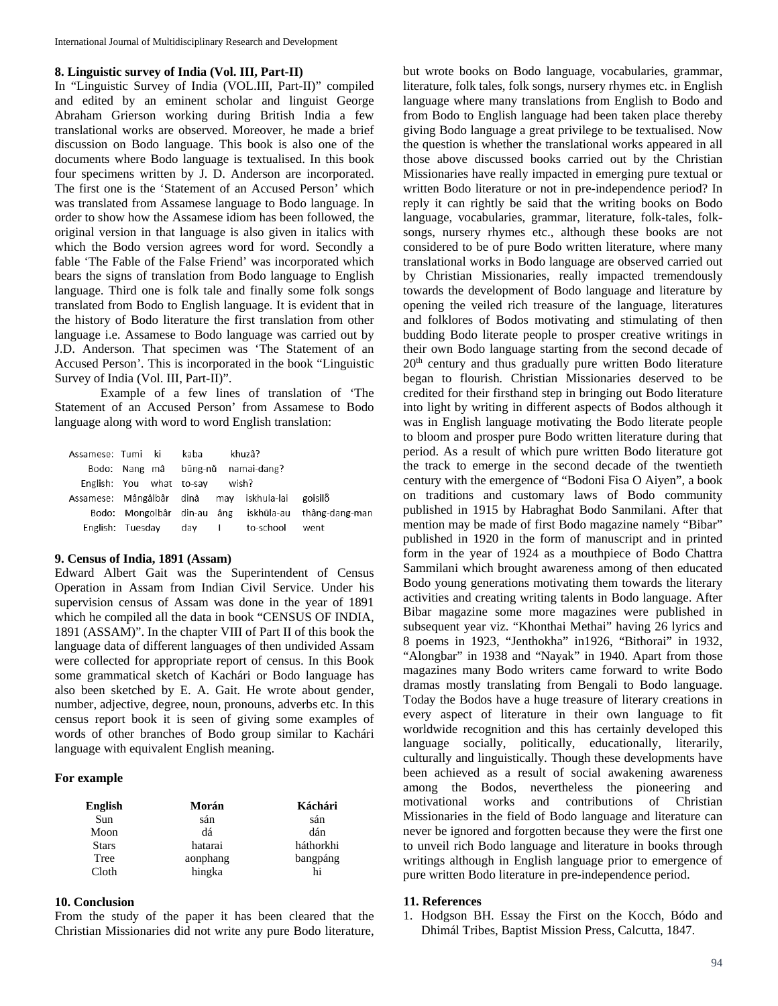### **8. Linguistic survey of India (Vol. III, Part-II)**

In "Linguistic Survey of India (VOL.III, Part-II)" compiled and edited by an eminent scholar and linguist George Abraham Grierson working during British India a few translational works are observed. Moreover, he made a brief discussion on Bodo language. This book is also one of the documents where Bodo language is textualised. In this book four specimens written by J. D. Anderson are incorporated. The first one is the 'Statement of an Accused Person' which was translated from Assamese language to Bodo language. In order to show how the Assamese idiom has been followed, the original version in that language is also given in italics with which the Bodo version agrees word for word. Secondly a fable 'The Fable of the False Friend' was incorporated which bears the signs of translation from Bodo language to English language. Third one is folk tale and finally some folk songs translated from Bodo to English language. It is evident that in the history of Bodo literature the first translation from other language i.e. Assamese to Bodo language was carried out by J.D. Anderson. That specimen was 'The Statement of an Accused Person'*.* This is incorporated in the book "Linguistic Survey of India (Vol. III, Part-II)".

Example of a few lines of translation of 'The Statement of an Accused Person' from Assamese to Bodo language along with word to word English translation:

| Assamese: Tumi ki |                                          | kaba  | khuzâ?              |                                                      |
|-------------------|------------------------------------------|-------|---------------------|------------------------------------------------------|
|                   | Bodo: Nang mâ                            |       | būng-nŭ namai-dang? |                                                      |
|                   | English: You what to-say                 |       | wish?               |                                                      |
|                   | Assamese: Mângâlbâr dinâ may iskhula-lai |       |                     | goisilo                                              |
|                   |                                          |       |                     | Bodo: Mongolbâr din-au âng iskhūla-au thâng-dang-man |
|                   | English: Tuesday                         | dav I | to-school           | went                                                 |

#### **9. Census of India, 1891 (Assam)**

Edward Albert Gait was the Superintendent of Census Operation in Assam from Indian Civil Service. Under his supervision census of Assam was done in the year of 1891 which he compiled all the data in book "CENSUS OF INDIA, 1891 (ASSAM)". In the chapter VIII of Part II of this book the language data of different languages of then undivided Assam were collected for appropriate report of census. In this Book some grammatical sketch of Kachári or Bodo language has also been sketched by E. A. Gait. He wrote about gender, number, adjective, degree, noun, pronouns, adverbs etc. In this census report book it is seen of giving some examples of words of other branches of Bodo group similar to Kachári language with equivalent English meaning.

#### **For example**

| English      | Morán    | Káchári   |
|--------------|----------|-----------|
| Sun          | sán      | sán       |
| Moon         | dá       | dán       |
| <b>Stars</b> | hatarai  | háthorkhi |
| Tree         | aonphang | bangpáng  |
| Cloth        | hingka   |           |

#### **10. Conclusion**

From the study of the paper it has been cleared that the Christian Missionaries did not write any pure Bodo literature, but wrote books on Bodo language, vocabularies, grammar, literature, folk tales, folk songs, nursery rhymes etc. in English language where many translations from English to Bodo and from Bodo to English language had been taken place thereby giving Bodo language a great privilege to be textualised. Now the question is whether the translational works appeared in all those above discussed books carried out by the Christian Missionaries have really impacted in emerging pure textual or written Bodo literature or not in pre-independence period? In reply it can rightly be said that the writing books on Bodo language, vocabularies, grammar, literature, folk-tales, folksongs, nursery rhymes etc., although these books are not considered to be of pure Bodo written literature, where many translational works in Bodo language are observed carried out by Christian Missionaries, really impacted tremendously towards the development of Bodo language and literature by opening the veiled rich treasure of the language, literatures and folklores of Bodos motivating and stimulating of then budding Bodo literate people to prosper creative writings in their own Bodo language starting from the second decade of 20<sup>th</sup> century and thus gradually pure written Bodo literature began to flourish*.* Christian Missionaries deserved to be credited for their firsthand step in bringing out Bodo literature into light by writing in different aspects of Bodos although it was in English language motivating the Bodo literate people to bloom and prosper pure Bodo written literature during that period. As a result of which pure written Bodo literature got the track to emerge in the second decade of the twentieth century with the emergence of "Bodoni Fisa O Aiyen", a book on traditions and customary laws of Bodo community published in 1915 by Habraghat Bodo Sanmilani. After that mention may be made of first Bodo magazine namely "Bibar" published in 1920 in the form of manuscript and in printed form in the year of 1924 as a mouthpiece of Bodo Chattra Sammilani which brought awareness among of then educated Bodo young generations motivating them towards the literary activities and creating writing talents in Bodo language. After Bibar magazine some more magazines were published in subsequent year viz. "Khonthai Methai" having 26 lyrics and 8 poems in 1923, "Jenthokha" in1926, "Bithorai" in 1932, "Alongbar" in 1938 and "Nayak" in 1940. Apart from those magazines many Bodo writers came forward to write Bodo dramas mostly translating from Bengali to Bodo language. Today the Bodos have a huge treasure of literary creations in every aspect of literature in their own language to fit worldwide recognition and this has certainly developed this language socially, politically, educationally, literarily, culturally and linguistically. Though these developments have been achieved as a result of social awakening awareness among the Bodos, nevertheless the pioneering and motivational works and contributions of Christian Missionaries in the field of Bodo language and literature can never be ignored and forgotten because they were the first one to unveil rich Bodo language and literature in books through writings although in English language prior to emergence of pure written Bodo literature in pre-independence period.

#### **11. References**

1. Hodgson BH. Essay the First on the Kocch, Bódo and Dhimál Tribes, Baptist Mission Press, Calcutta, 1847.